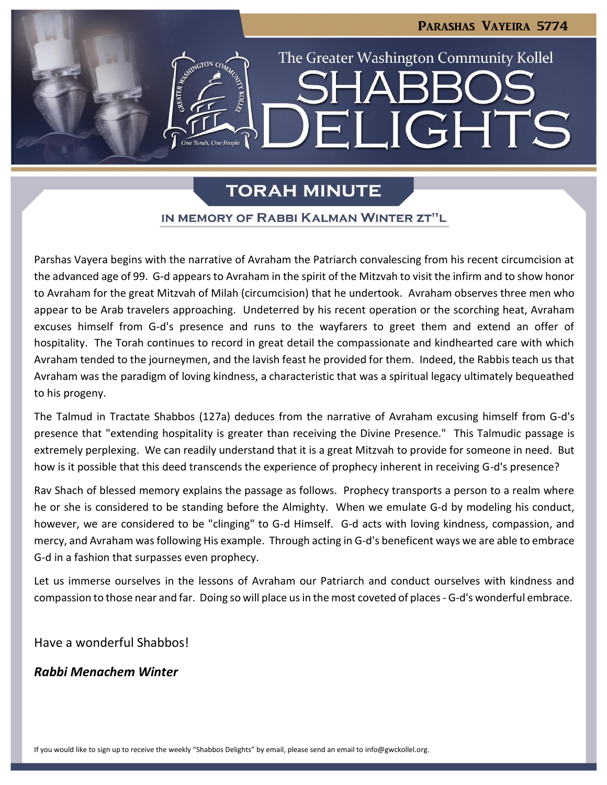## Parashas Vayeira 5774

LIGHTS

The Greater Washington Community Kollel

# **TORAH MINUTE**

 $\blacksquare$ 

## IN MEMORY OF RABBI KALMAN WINTER ZT"L

Parshas Vayera begins with the narrative of Avraham the Patriarch convalescing from his recent circumcision at the advanced age of 99. G-d appears to Avraham in the spirit of the Mitzvah to visit the infirm and to show honor to Avraham for the great Mitzvah of Milah (circumcision) that he undertook. Avraham observes three men who appear to be Arab travelers approaching. Undeterred by his recent operation or the scorching heat, Avraham excuses himself from G-d's presence and runs to the wayfarers to greet them and extend an offer of hospitality. The Torah continues to record in great detail the compassionate and kindhearted care with which Avraham tended to the journeymen, and the lavish feast he provided for them. Indeed, the Rabbis teach us that Avraham was the paradigm of loving kindness, a characteristic that was a spiritual legacy ultimately bequeathed to his progeny.

The Talmud in Tractate Shabbos (127a) deduces from the narrative of Avraham excusing himself from G-d's presence that "extending hospitality is greater than receiving the Divine Presence." This Talmudic passage is extremely perplexing. We can readily understand that it is a great Mitzvah to provide for someone in need. But how is it possible that this deed transcends the experience of prophecy inherent in receiving G-d's presence?

Rav Shach of blessed memory explains the passage as follows. Prophecy transports a person to a realm where he or she is considered to be standing before the Almighty. When we emulate G-d by modeling his conduct, however, we are considered to be "clinging" to G-d Himself. G-d acts with loving kindness, compassion, and mercy, and Avraham was following His example. Through acting in G-d's beneficent ways we are able to embrace G-d in a fashion that surpasses even prophecy.

Let us immerse ourselves in the lessons of Avraham our Patriarch and conduct ourselves with kindness and compassion to those near and far. Doing so will place us in the most coveted of places - G-d's wonderful embrace.

Have a wonderful Shabbos!

*Rabbi Menachem Winter*